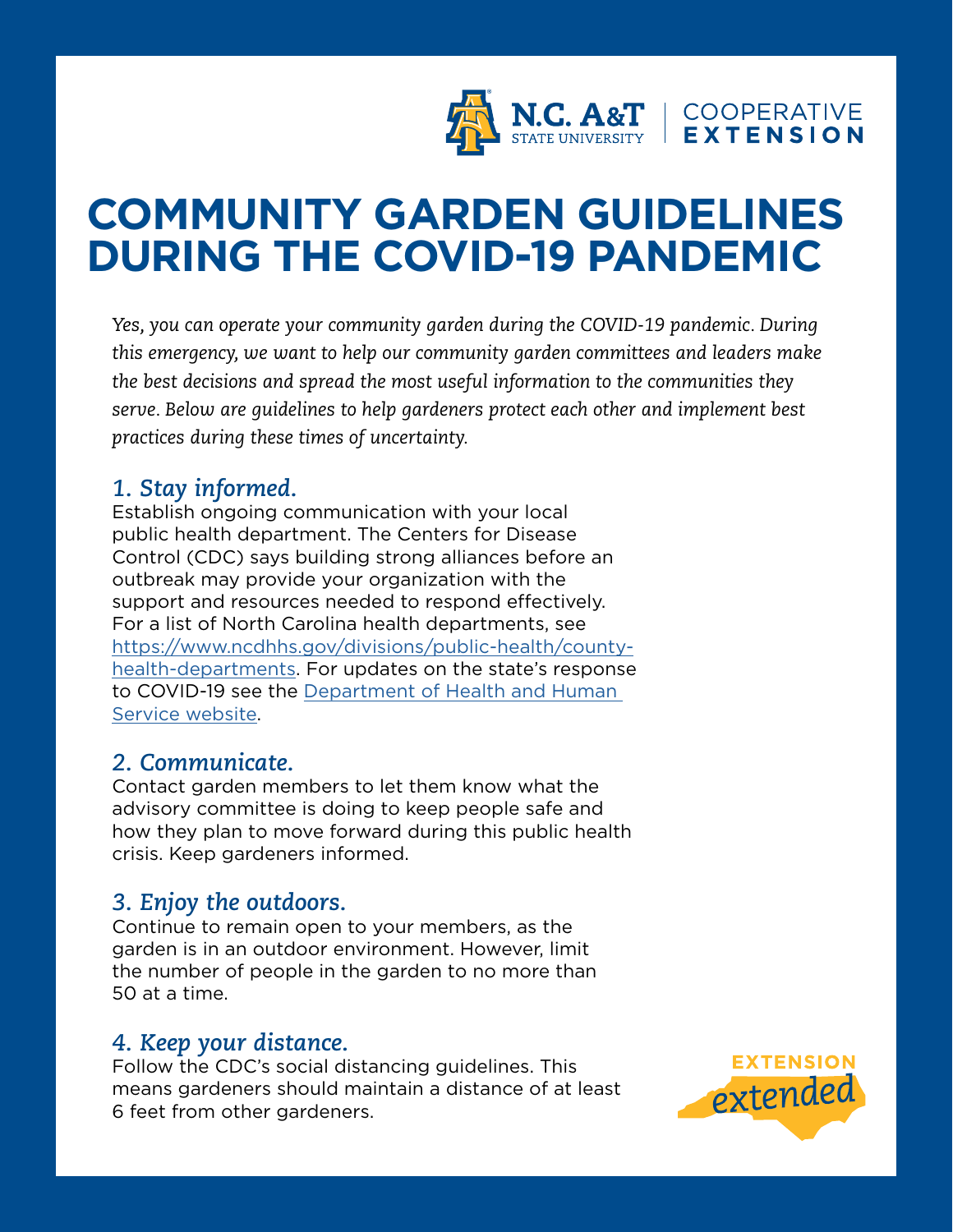

# **COMMUNITY GARDEN GUIDELINES DURING THE COVID-19 PANDEMIC**

*Yes, you can operate your community garden during the COVID-19 pandemic. During this emergency, we want to help our community garden committees and leaders make the best decisions and spread the most useful information to the communities they serve. Below are guidelines to help gardeners protect each other and implement best practices during these times of uncertainty.* 

# *1. Stay informed.*

Establish ongoing communication with your local public health department. The Centers for Disease Control (CDC) says building strong alliances before an outbreak may provide your organization with the support and resources needed to respond effectively. For a list of North Carolina health departments, see [https://www.ncdhhs.gov/divisions/public-health/county](https://www.ncdhhs.gov/divisions/public-health/county-health-departments)[health-departments](https://www.ncdhhs.gov/divisions/public-health/county-health-departments). For updates on the state's response to COVID-19 see the [Department of Health and Human](https://www.ncdhhs.gov/divisions/public-health/coronavirus-disease-2019-covid-19-response-north-carolina)  [Service website](https://www.ncdhhs.gov/divisions/public-health/coronavirus-disease-2019-covid-19-response-north-carolina).

## *2. Communicate.*

Contact garden members to let them know what the advisory committee is doing to keep people safe and how they plan to move forward during this public health crisis. Keep gardeners informed.

# *3. Enjoy the outdoors.*

Continue to remain open to your members, as the garden is in an outdoor environment. However, limit the number of people in the garden to no more than 50 at a time.

#### *4. Keep your distance.*

Follow the CDC's social distancing guidelines. This means gardeners should maintain a distance of at least 6 feet from other gardeners.